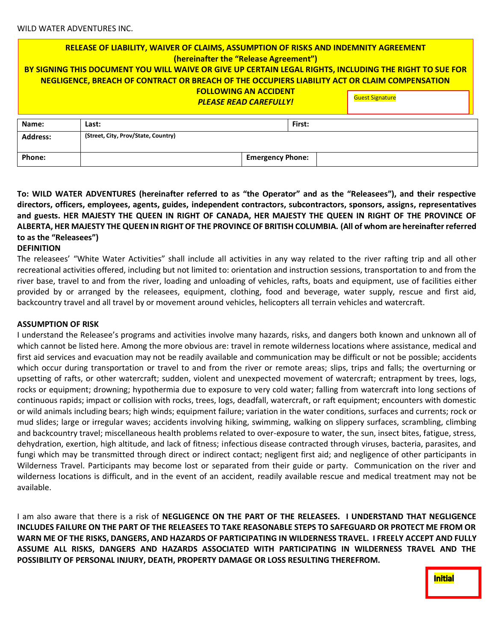# **RELEASE OF LIABILITY, WAIVER OF CLAIMS, ASSUMPTION OF RISKS AND INDEMNITY AGREEMENT (hereinafter the "Release Agreement") BY SIGNING THIS DOCUMENT YOU WILL WAIVE OR GIVE UP CERTAIN LEGAL RIGHTS, INCLUDING THE RIGHT TO SUE FOR NEGLIGENCE, BREACH OF CONTRACT OR BREACH OF THE OCCUPIERS LIABILITY ACT OR CLAIM COMPENSATION FOLLOWING AN ACCIDENT PLEASE READ CAREFULLY!** Guest Signature

| Name:           | Last:                               | <b>First:</b>           |  |  |  |  |
|-----------------|-------------------------------------|-------------------------|--|--|--|--|
| <b>Address:</b> | (Street, City, Prov/State, Country) |                         |  |  |  |  |
|                 |                                     |                         |  |  |  |  |
| Phone:          |                                     | <b>Emergency Phone:</b> |  |  |  |  |

## **To: WILD WATER ADVENTURES (hereinafter referred to as "the Operator" and as the "Releasees"), and their respective directors, officers, employees, agents, guides, independent contractors, subcontractors, sponsors, assigns, representatives and guests. HER MAJESTY THE QUEEN IN RIGHT OF CANADA, HER MAJESTY THE QUEEN IN RIGHT OF THE PROVINCE OF ALBERTA, HER MAJESTY THE QUEEN IN RIGHT OF THE PROVINCE OF BRITISH COLUMBIA. (All of whom are hereinafter referred to as the "Releasees")**

#### **DEFINITION**

The releasees' "White Water Activities" shall include all activities in any way related to the river rafting trip and all other recreational activities offered, including but not limited to: orientation and instruction sessions, transportation to and from the river base, travel to and from the river, loading and unloading of vehicles, rafts, boats and equipment, use of facilities either provided by or arranged by the releasees, equipment, clothing, food and beverage, water supply, rescue and first aid, backcountry travel and all travel by or movement around vehicles, helicopters all terrain vehicles and watercraft.

#### **ASSUMPTION OF RISK**

I understand the Releasee's programs and activities involve many hazards, risks, and dangers both known and unknown all of which cannot be listed here. Among the more obvious are: travel in remote wilderness locations where assistance, medical and first aid services and evacuation may not be readily available and communication may be difficult or not be possible; accidents which occur during transportation or travel to and from the river or remote areas; slips, trips and falls; the overturning or upsetting of rafts, or other watercraft; sudden, violent and unexpected movement of watercraft; entrapment by trees, logs, rocks or equipment; drowning; hypothermia due to exposure to very cold water; falling from watercraft into long sections of continuous rapids; impact or collision with rocks, trees, logs, deadfall, watercraft, or raft equipment; encounters with domestic or wild animals including bears; high winds; equipment failure; variation in the water conditions, surfaces and currents; rock or mud slides; large or irregular waves; accidents involving hiking, swimming, walking on slippery surfaces, scrambling, climbing and backcountry travel; miscellaneous health problems related to over-exposure to water, the sun, insect bites, fatigue, stress, dehydration, exertion, high altitude, and lack of fitness; infectious disease contracted through viruses, bacteria, parasites, and fungi which may be transmitted through direct or indirect contact; negligent first aid; and negligence of other participants in Wilderness Travel. Participants may become lost or separated from their guide or party. Communication on the river and wilderness locations is difficult, and in the event of an accident, readily available rescue and medical treatment may not be available.

I am also aware that there is a risk of **NEGLIGENCE ON THE PART OF THE RELEASEES. I UNDERSTAND THAT NEGLIGENCE INCLUDES FAILURE ON THE PART OF THE RELEASEES TO TAKE REASONABLE STEPS TO SAFEGUARD OR PROTECT ME FROM OR WARN ME OF THE RISKS, DANGERS, AND HAZARDS OF PARTICIPATING IN WILDERNESS TRAVEL. I FREELY ACCEPT AND FULLY ASSUME ALL RISKS, DANGERS AND HAZARDS ASSOCIATED WITH PARTICIPATING IN WILDERNESS TRAVEL AND THE POSSIBILITY OF PERSONAL INJURY, DEATH, PROPERTY DAMAGE OR LOSS RESULTING THEREFROM.**

**Initial**